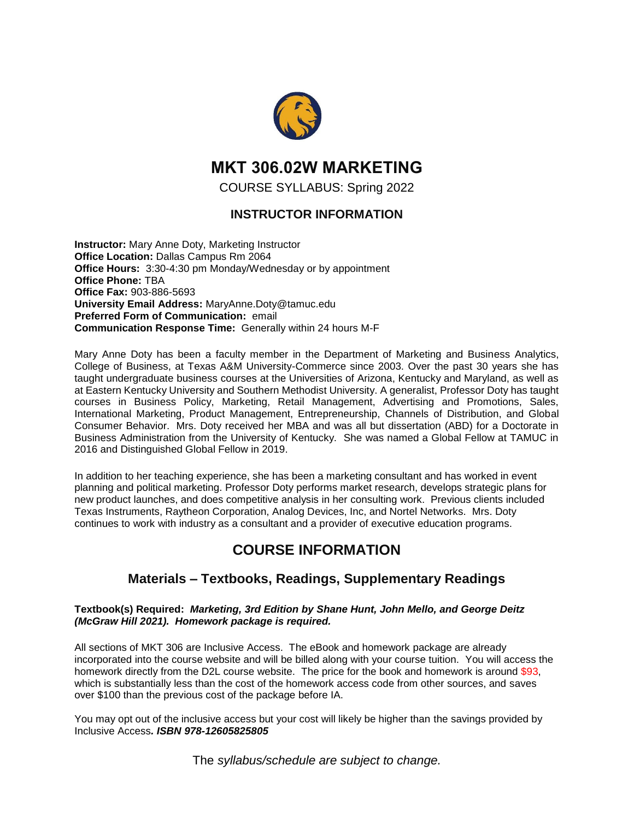

# **MKT 306.02W MARKETING**

COURSE SYLLABUS: Spring 2022

### **INSTRUCTOR INFORMATION**

**Instructor:** Mary Anne Doty, Marketing Instructor **Office Location:** Dallas Campus Rm 2064 **Office Hours:** 3:30-4:30 pm Monday/Wednesday or by appointment **Office Phone:** TBA **Office Fax:** 903-886-5693 **University Email Address:** MaryAnne.Doty@tamuc.edu **Preferred Form of Communication:** email **Communication Response Time:** Generally within 24 hours M-F

Mary Anne Doty has been a faculty member in the Department of Marketing and Business Analytics, College of Business, at Texas A&M University-Commerce since 2003. Over the past 30 years she has taught undergraduate business courses at the Universities of Arizona, Kentucky and Maryland, as well as at Eastern Kentucky University and Southern Methodist University. A generalist, Professor Doty has taught courses in Business Policy, Marketing, Retail Management, Advertising and Promotions, Sales, International Marketing, Product Management, Entrepreneurship, Channels of Distribution, and Global Consumer Behavior. Mrs. Doty received her MBA and was all but dissertation (ABD) for a Doctorate in Business Administration from the University of Kentucky. She was named a Global Fellow at TAMUC in 2016 and Distinguished Global Fellow in 2019.

In addition to her teaching experience, she has been a marketing consultant and has worked in event planning and political marketing. Professor Doty performs market research, develops strategic plans for new product launches, and does competitive analysis in her consulting work. Previous clients included Texas Instruments, Raytheon Corporation, Analog Devices, Inc, and Nortel Networks. Mrs. Doty continues to work with industry as a consultant and a provider of executive education programs.

# **COURSE INFORMATION**

### **Materials – Textbooks, Readings, Supplementary Readings**

#### **Textbook(s) Required:** *Marketing, 3rd Edition by Shane Hunt, John Mello, and George Deitz (McGraw Hill 2021). Homework package is required.*

All sections of MKT 306 are Inclusive Access. The eBook and homework package are already incorporated into the course website and will be billed along with your course tuition. You will access the homework directly from the D2L course website. The price for the book and homework is around \$93, which is substantially less than the cost of the homework access code from other sources, and saves over \$100 than the previous cost of the package before IA.

You may opt out of the inclusive access but your cost will likely be higher than the savings provided by Inclusive Access*. ISBN 978-12605825805*

The *syllabus/schedule are subject to change.*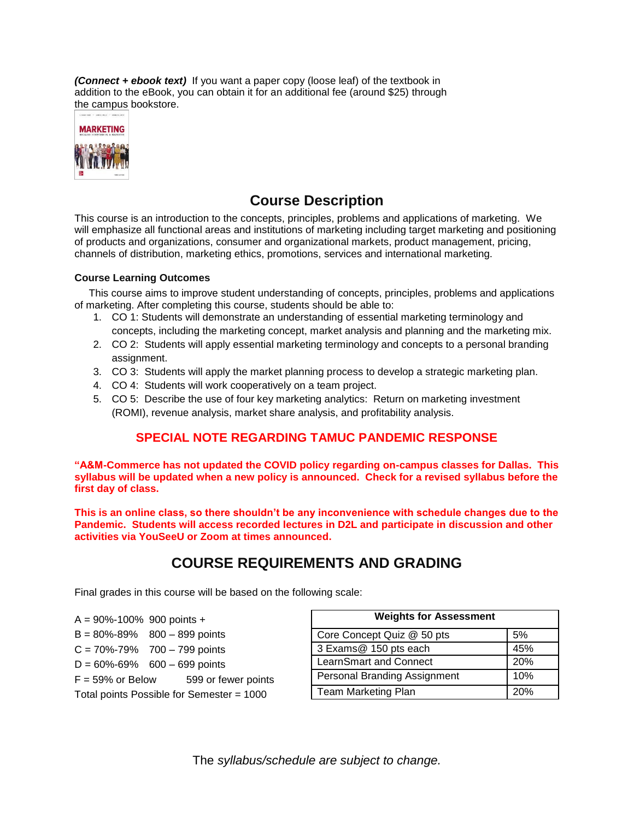*(Connect + ebook text)* If you want a paper copy (loose leaf) of the textbook in addition to the eBook, you can obtain it for an additional fee (around \$25) through the campus bookstore.



## **Course Description**

This course is an introduction to the concepts, principles, problems and applications of marketing. We will emphasize all functional areas and institutions of marketing including target marketing and positioning of products and organizations, consumer and organizational markets, product management, pricing, channels of distribution, marketing ethics, promotions, services and international marketing.

#### **Course Learning Outcomes**

 This course aims to improve student understanding of concepts, principles, problems and applications of marketing. After completing this course, students should be able to:

- 1. CO 1: Students will demonstrate an understanding of essential marketing terminology and concepts, including the marketing concept, market analysis and planning and the marketing mix.
- 2. CO 2: Students will apply essential marketing terminology and concepts to a personal branding assignment.
- 3. CO 3: Students will apply the market planning process to develop a strategic marketing plan.
- 4. CO 4: Students will work cooperatively on a team project.
- 5. CO 5: Describe the use of four key marketing analytics: Return on marketing investment (ROMI), revenue analysis, market share analysis, and profitability analysis.

### **SPECIAL NOTE REGARDING TAMUC PANDEMIC RESPONSE**

**"A&M-Commerce has not updated the COVID policy regarding on-campus classes for Dallas. This syllabus will be updated when a new policy is announced. Check for a revised syllabus before the first day of class.**

**This is an online class, so there shouldn't be any inconvenience with schedule changes due to the Pandemic. Students will access recorded lectures in D2L and participate in discussion and other activities via YouSeeU or Zoom at times announced.** 

## **COURSE REQUIREMENTS AND GRADING**

Final grades in this course will be based on the following scale:

- $A = 90\% 100\%$  900 points +
- $B = 80\% 89\%$  800 899 points
- $C = 70\% 79\%$  700 799 points
- $D = 60\% 69\%$  600 699 points
- $F = 59\%$  or Below  $599$  or fewer points

Total points Possible for Semester = 1000

| <b>Weights for Assessment</b>       |     |  |
|-------------------------------------|-----|--|
| Core Concept Quiz @ 50 pts          | 5%  |  |
| 3 Exams@ 150 pts each               | 45% |  |
| LearnSmart and Connect              | 20% |  |
| <b>Personal Branding Assignment</b> | 10% |  |
| <b>Team Marketing Plan</b>          | 20% |  |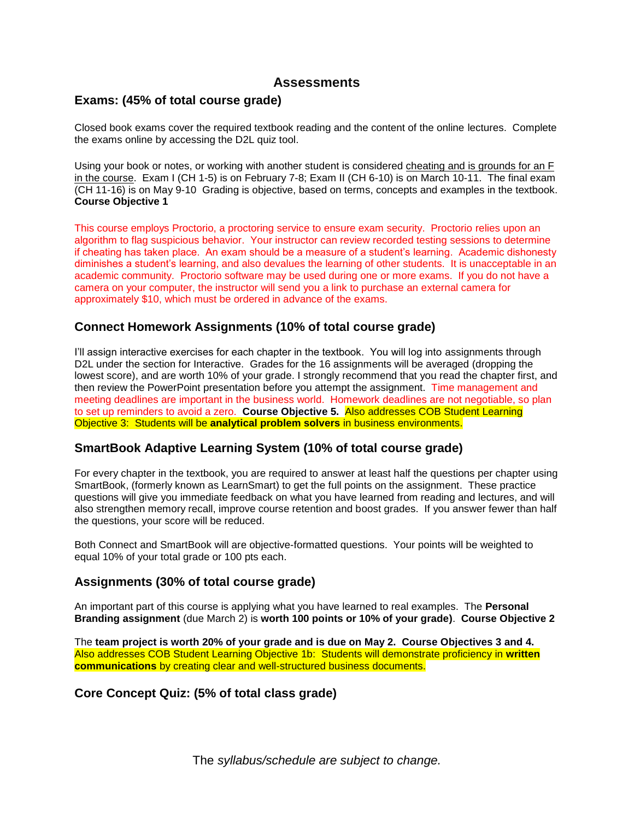### **Assessments**

### **Exams: (45% of total course grade)**

Closed book exams cover the required textbook reading and the content of the online lectures. Complete the exams online by accessing the D2L quiz tool.

Using your book or notes, or working with another student is considered cheating and is grounds for an F in the course. Exam I (CH 1-5) is on February 7-8; Exam II (CH 6-10) is on March 10-11. The final exam (CH 11-16) is on May 9-10 Grading is objective, based on terms, concepts and examples in the textbook. **Course Objective 1**

This course employs Proctorio, a proctoring service to ensure exam security. Proctorio relies upon an algorithm to flag suspicious behavior. Your instructor can review recorded testing sessions to determine if cheating has taken place. An exam should be a measure of a student's learning. Academic dishonesty diminishes a student's learning, and also devalues the learning of other students. It is unacceptable in an academic community. Proctorio software may be used during one or more exams. If you do not have a camera on your computer, the instructor will send you a link to purchase an external camera for approximately \$10, which must be ordered in advance of the exams.

### **Connect Homework Assignments (10% of total course grade)**

I'll assign interactive exercises for each chapter in the textbook. You will log into assignments through D2L under the section for Interactive. Grades for the 16 assignments will be averaged (dropping the lowest score), and are worth 10% of your grade. I strongly recommend that you read the chapter first, and then review the PowerPoint presentation before you attempt the assignment. Time management and meeting deadlines are important in the business world. Homework deadlines are not negotiable, so plan to set up reminders to avoid a zero. **Course Objective 5.** Also addresses COB Student Learning Objective 3: Students will be **analytical problem solvers** in business environments.

### **SmartBook Adaptive Learning System (10% of total course grade)**

For every chapter in the textbook, you are required to answer at least half the questions per chapter using SmartBook, (formerly known as LearnSmart) to get the full points on the assignment. These practice questions will give you immediate feedback on what you have learned from reading and lectures, and will also strengthen memory recall, improve course retention and boost grades. If you answer fewer than half the questions, your score will be reduced.

Both Connect and SmartBook will are objective-formatted questions. Your points will be weighted to equal 10% of your total grade or 100 pts each.

### **Assignments (30% of total course grade)**

An important part of this course is applying what you have learned to real examples. The **Personal Branding assignment** (due March 2) is **worth 100 points or 10% of your grade)**. **Course Objective 2**

The **team project is worth 20% of your grade and is due on May 2. Course Objectives 3 and 4.**  Also addresses COB Student Learning Objective 1b: Students will demonstrate proficiency in **written communications** by creating clear and well-structured business documents.

### **Core Concept Quiz: (5% of total class grade)**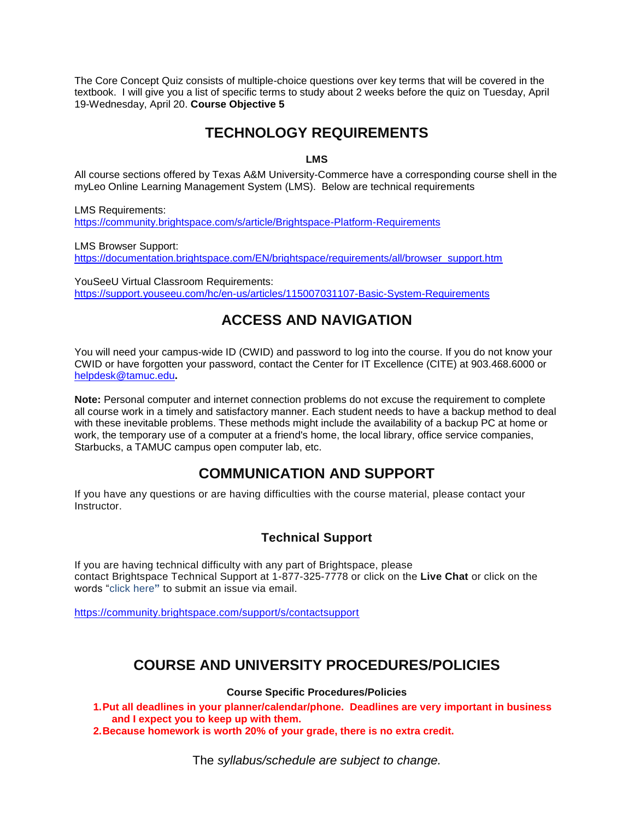The Core Concept Quiz consists of multiple-choice questions over key terms that will be covered in the textbook. I will give you a list of specific terms to study about 2 weeks before the quiz on Tuesday, April 19-Wednesday, April 20. **Course Objective 5**

# **TECHNOLOGY REQUIREMENTS**

#### **LMS**

All course sections offered by Texas A&M University-Commerce have a corresponding course shell in the myLeo Online Learning Management System (LMS). Below are technical requirements

LMS Requirements: <https://community.brightspace.com/s/article/Brightspace-Platform-Requirements>

LMS Browser Support: [https://documentation.brightspace.com/EN/brightspace/requirements/all/browser\\_support.htm](https://documentation.brightspace.com/EN/brightspace/requirements/all/browser_support.htm)

YouSeeU Virtual Classroom Requirements: <https://support.youseeu.com/hc/en-us/articles/115007031107-Basic-System-Requirements>

## **ACCESS AND NAVIGATION**

You will need your campus-wide ID (CWID) and password to log into the course. If you do not know your CWID or have forgotten your password, contact the Center for IT Excellence (CITE) at 903.468.6000 or [helpdesk@tamuc.edu](mailto:helpdesk@tamuc.edu)**.**

**Note:** Personal computer and internet connection problems do not excuse the requirement to complete all course work in a timely and satisfactory manner. Each student needs to have a backup method to deal with these inevitable problems. These methods might include the availability of a backup PC at home or work, the temporary use of a computer at a friend's home, the local library, office service companies, Starbucks, a TAMUC campus open computer lab, etc.

## **COMMUNICATION AND SUPPORT**

If you have any questions or are having difficulties with the course material, please contact your **Instructor** 

### **Technical Support**

If you are having technical difficulty with any part of Brightspace, please contact Brightspace Technical Support at 1-877-325-7778 or click on the **Live Chat** or click on the words "click here**"** to submit an issue via email.

<https://community.brightspace.com/support/s/contactsupport>

## **COURSE AND UNIVERSITY PROCEDURES/POLICIES**

#### **Course Specific Procedures/Policies**

**1.Put all deadlines in your planner/calendar/phone. Deadlines are very important in business and I expect you to keep up with them.**

**2.Because homework is worth 20% of your grade, there is no extra credit.**

The *syllabus/schedule are subject to change.*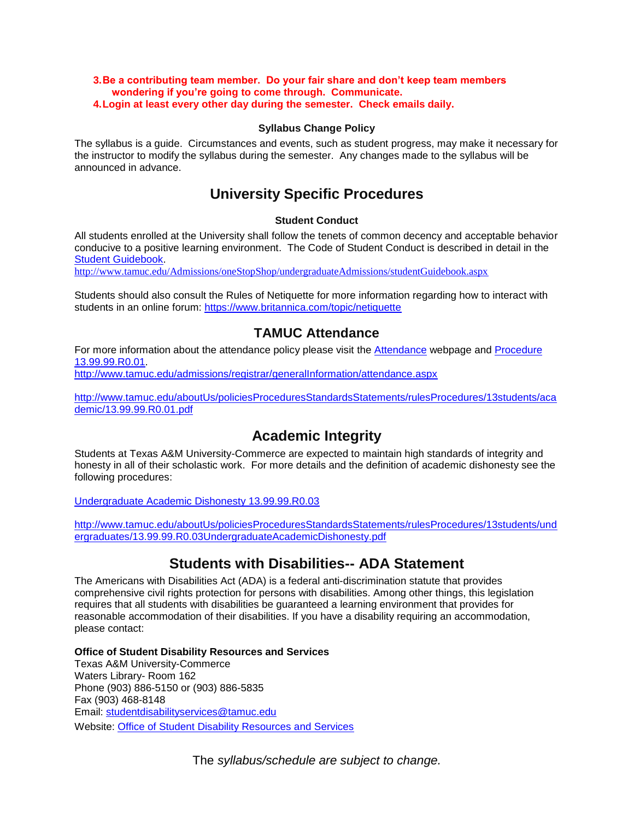#### **3.Be a contributing team member. Do your fair share and don't keep team members wondering if you're going to come through. Communicate. 4.Login at least every other day during the semester. Check emails daily.**

#### **Syllabus Change Policy**

The syllabus is a guide. Circumstances and events, such as student progress, may make it necessary for the instructor to modify the syllabus during the semester. Any changes made to the syllabus will be announced in advance.

## **University Specific Procedures**

#### **Student Conduct**

All students enrolled at the University shall follow the tenets of common decency and acceptable behavior conducive to a positive learning environment. The Code of Student Conduct is described in detail in the [Student Guidebook.](http://www.tamuc.edu/Admissions/oneStopShop/undergraduateAdmissions/studentGuidebook.aspx)

<http://www.tamuc.edu/Admissions/oneStopShop/undergraduateAdmissions/studentGuidebook.aspx>

Students should also consult the Rules of Netiquette for more information regarding how to interact with students in an online forum:<https://www.britannica.com/topic/netiquette>

## **TAMUC Attendance**

For more information about the attendance policy please visit the [Attendance](http://www.tamuc.edu/admissions/registrar/generalInformation/attendance.aspx) webpage and [Procedure](http://www.tamuc.edu/aboutUs/policiesProceduresStandardsStatements/rulesProcedures/13students/academic/13.99.99.R0.01.pdf)  [13.99.99.R0.01.](http://www.tamuc.edu/aboutUs/policiesProceduresStandardsStatements/rulesProcedures/13students/academic/13.99.99.R0.01.pdf)

<http://www.tamuc.edu/admissions/registrar/generalInformation/attendance.aspx>

[http://www.tamuc.edu/aboutUs/policiesProceduresStandardsStatements/rulesProcedures/13students/aca](http://www.tamuc.edu/aboutUs/policiesProceduresStandardsStatements/rulesProcedures/13students/academic/13.99.99.R0.01.pdf) [demic/13.99.99.R0.01.pdf](http://www.tamuc.edu/aboutUs/policiesProceduresStandardsStatements/rulesProcedures/13students/academic/13.99.99.R0.01.pdf)

# **Academic Integrity**

Students at Texas A&M University-Commerce are expected to maintain high standards of integrity and honesty in all of their scholastic work. For more details and the definition of academic dishonesty see the following procedures:

#### [Undergraduate Academic Dishonesty 13.99.99.R0.03](http://www.tamuc.edu/aboutUs/policiesProceduresStandardsStatements/rulesProcedures/13students/undergraduates/13.99.99.R0.03UndergraduateAcademicDishonesty.pdf)

[http://www.tamuc.edu/aboutUs/policiesProceduresStandardsStatements/rulesProcedures/13students/und](http://www.tamuc.edu/aboutUs/policiesProceduresStandardsStatements/rulesProcedures/13students/undergraduates/13.99.99.R0.03UndergraduateAcademicDishonesty.pdf) [ergraduates/13.99.99.R0.03UndergraduateAcademicDishonesty.pdf](http://www.tamuc.edu/aboutUs/policiesProceduresStandardsStatements/rulesProcedures/13students/undergraduates/13.99.99.R0.03UndergraduateAcademicDishonesty.pdf)

## **Students with Disabilities-- ADA Statement**

The Americans with Disabilities Act (ADA) is a federal anti-discrimination statute that provides comprehensive civil rights protection for persons with disabilities. Among other things, this legislation requires that all students with disabilities be guaranteed a learning environment that provides for reasonable accommodation of their disabilities. If you have a disability requiring an accommodation, please contact:

#### **Office of Student Disability Resources and Services**

Texas A&M University-Commerce Waters Library- Room 162 Phone (903) 886-5150 or (903) 886-5835 Fax (903) 468-8148 Email: [studentdisabilityservices@tamuc.edu](mailto:studentdisabilityservices@tamuc.edu) Website: [Office of Student Disability Resources and Services](http://www.tamuc.edu/campusLife/campusServices/studentDisabilityResourcesAndServices/)

The *syllabus/schedule are subject to change.*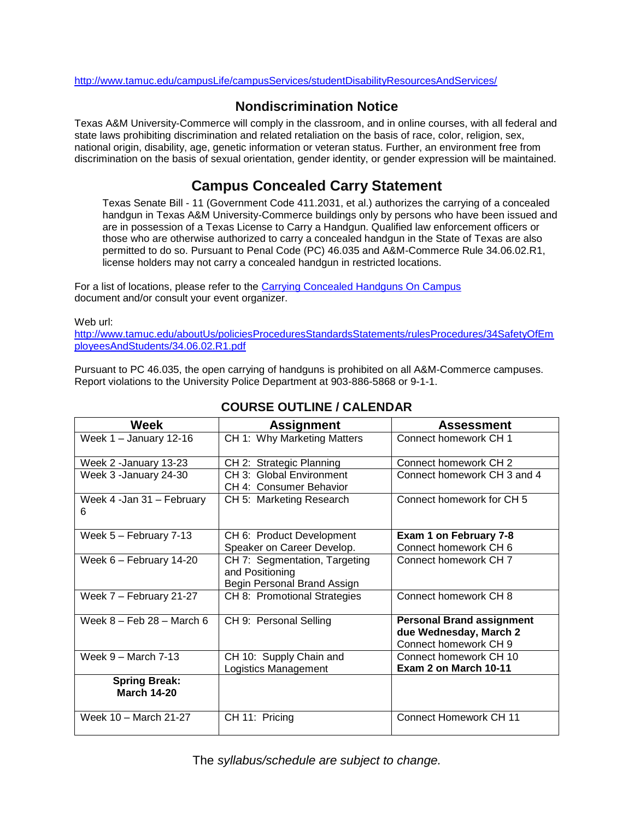<http://www.tamuc.edu/campusLife/campusServices/studentDisabilityResourcesAndServices/>

## **Nondiscrimination Notice**

Texas A&M University-Commerce will comply in the classroom, and in online courses, with all federal and state laws prohibiting discrimination and related retaliation on the basis of race, color, religion, sex, national origin, disability, age, genetic information or veteran status. Further, an environment free from discrimination on the basis of sexual orientation, gender identity, or gender expression will be maintained.

# **Campus Concealed Carry Statement**

Texas Senate Bill - 11 (Government Code 411.2031, et al.) authorizes the carrying of a concealed handgun in Texas A&M University-Commerce buildings only by persons who have been issued and are in possession of a Texas License to Carry a Handgun. Qualified law enforcement officers or those who are otherwise authorized to carry a concealed handgun in the State of Texas are also permitted to do so. Pursuant to Penal Code (PC) 46.035 and A&M-Commerce Rule 34.06.02.R1, license holders may not carry a concealed handgun in restricted locations.

For a list of locations, please refer to the [Carrying Concealed Handguns On Campus](http://www.tamuc.edu/aboutUs/policiesProceduresStandardsStatements/rulesProcedures/34SafetyOfEmployeesAndStudents/34.06.02.R1.pdf) document and/or consult your event organizer.

Web url:

[http://www.tamuc.edu/aboutUs/policiesProceduresStandardsStatements/rulesProcedures/34SafetyOfEm](http://www.tamuc.edu/aboutUs/policiesProceduresStandardsStatements/rulesProcedures/34SafetyOfEmployeesAndStudents/34.06.02.R1.pdf) [ployeesAndStudents/34.06.02.R1.pdf](http://www.tamuc.edu/aboutUs/policiesProceduresStandardsStatements/rulesProcedures/34SafetyOfEmployeesAndStudents/34.06.02.R1.pdf)

Pursuant to PC 46.035, the open carrying of handguns is prohibited on all A&M-Commerce campuses. Report violations to the University Police Department at 903-886-5868 or 9-1-1.

| Week                                       | <b>Assignment</b>                                                               | <b>Assessment</b>                                                                   |
|--------------------------------------------|---------------------------------------------------------------------------------|-------------------------------------------------------------------------------------|
| Week $1 -$ January 12-16                   | CH 1: Why Marketing Matters                                                     | Connect homework CH 1                                                               |
| Week 2 - January 13-23                     | CH 2: Strategic Planning                                                        | Connect homework CH 2                                                               |
| Week 3 - January 24-30                     | CH 3: Global Environment<br>CH 4: Consumer Behavior                             | Connect homework CH 3 and 4                                                         |
| Week 4 -Jan 31 - February<br>6             | CH 5: Marketing Research                                                        | Connect homework for CH 5                                                           |
| Week $5 -$ February 7-13                   | CH 6: Product Development<br>Speaker on Career Develop.                         | Exam 1 on February 7-8<br>Connect homework CH 6                                     |
| Week 6 - February 14-20                    | CH 7: Segmentation, Targeting<br>and Positioning<br>Begin Personal Brand Assign | Connect homework CH <sub>7</sub>                                                    |
| Week 7 - February 21-27                    | CH 8: Promotional Strategies                                                    | Connect homework CH 8                                                               |
| Week $8 -$ Feb $28 -$ March 6              | CH 9: Personal Selling                                                          | <b>Personal Brand assignment</b><br>due Wednesday, March 2<br>Connect homework CH 9 |
| Week $9 -$ March 7-13                      | CH 10: Supply Chain and<br>Logistics Management                                 | Connect homework CH 10<br>Exam 2 on March 10-11                                     |
| <b>Spring Break:</b><br><b>March 14-20</b> |                                                                                 |                                                                                     |
| Week 10 - March 21-27                      | CH 11: Pricing                                                                  | <b>Connect Homework CH 11</b>                                                       |

## **COURSE OUTLINE / CALENDAR**